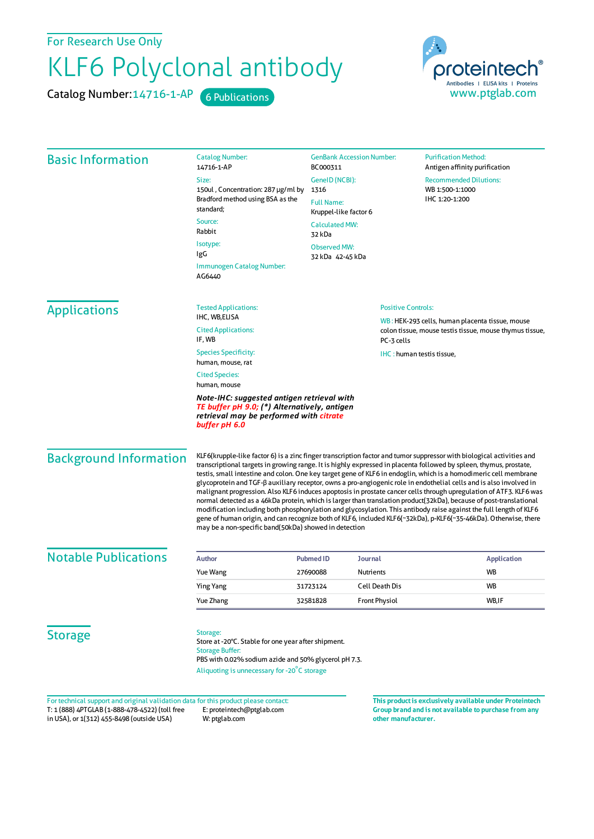For Research Use Only

## KLF6 Polyclonal antibody

Catalog Number: 14716-1-AP 6 Publications



| <b>Basic Information</b>                                                            | <b>Catalog Number:</b><br>14716-1-AP                                                                                                                                                                                                                                                                                                                                                                                                                                                                                                                                                                                                                                                                                                                                                                                                                                                                                                                                                                                                 | <b>GenBank Accession Number:</b><br>BC000311                                 |                                                         | <b>Purification Method:</b><br>Antigen affinity purification       |  |
|-------------------------------------------------------------------------------------|--------------------------------------------------------------------------------------------------------------------------------------------------------------------------------------------------------------------------------------------------------------------------------------------------------------------------------------------------------------------------------------------------------------------------------------------------------------------------------------------------------------------------------------------------------------------------------------------------------------------------------------------------------------------------------------------------------------------------------------------------------------------------------------------------------------------------------------------------------------------------------------------------------------------------------------------------------------------------------------------------------------------------------------|------------------------------------------------------------------------------|---------------------------------------------------------|--------------------------------------------------------------------|--|
|                                                                                     | Size:                                                                                                                                                                                                                                                                                                                                                                                                                                                                                                                                                                                                                                                                                                                                                                                                                                                                                                                                                                                                                                | GenelD (NCBI):<br>1316<br><b>Full Name:</b><br>Kruppel-like factor 6         |                                                         | <b>Recommended Dilutions:</b><br>WB 1:500-1:1000<br>IHC 1:20-1:200 |  |
|                                                                                     | 150ul, Concentration: 287 µg/ml by<br>Bradford method using BSA as the<br>standard;                                                                                                                                                                                                                                                                                                                                                                                                                                                                                                                                                                                                                                                                                                                                                                                                                                                                                                                                                  |                                                                              |                                                         |                                                                    |  |
|                                                                                     | Source:<br>Rabbit                                                                                                                                                                                                                                                                                                                                                                                                                                                                                                                                                                                                                                                                                                                                                                                                                                                                                                                                                                                                                    | <b>Calculated MW:</b><br>32 kDa                                              |                                                         |                                                                    |  |
|                                                                                     | Isotype:<br>IgG                                                                                                                                                                                                                                                                                                                                                                                                                                                                                                                                                                                                                                                                                                                                                                                                                                                                                                                                                                                                                      | <b>Observed MW:</b><br>32 kDa   42-45 kDa                                    |                                                         |                                                                    |  |
|                                                                                     | Immunogen Catalog Number:<br>AG6440                                                                                                                                                                                                                                                                                                                                                                                                                                                                                                                                                                                                                                                                                                                                                                                                                                                                                                                                                                                                  |                                                                              |                                                         |                                                                    |  |
| <b>Applications</b>                                                                 | <b>Tested Applications:</b><br>IHC, WB,ELISA                                                                                                                                                                                                                                                                                                                                                                                                                                                                                                                                                                                                                                                                                                                                                                                                                                                                                                                                                                                         | <b>Positive Controls:</b><br>WB: HEK-293 cells, human placenta tissue, mouse |                                                         |                                                                    |  |
|                                                                                     | <b>Cited Applications:</b><br>IF, WB                                                                                                                                                                                                                                                                                                                                                                                                                                                                                                                                                                                                                                                                                                                                                                                                                                                                                                                                                                                                 |                                                                              | colon tissue, mouse testis tissue, mouse thymus tissue, |                                                                    |  |
|                                                                                     | <b>Species Specificity:</b><br>human, mouse, rat                                                                                                                                                                                                                                                                                                                                                                                                                                                                                                                                                                                                                                                                                                                                                                                                                                                                                                                                                                                     |                                                                              | IHC: human testis tissue,                               |                                                                    |  |
|                                                                                     | <b>Cited Species:</b><br>human, mouse                                                                                                                                                                                                                                                                                                                                                                                                                                                                                                                                                                                                                                                                                                                                                                                                                                                                                                                                                                                                |                                                                              |                                                         |                                                                    |  |
|                                                                                     | Note-IHC: suggested antigen retrieval with<br>TE buffer pH 9.0; (*) Alternatively, antigen<br>retrieval may be performed with citrate<br>buffer pH 6.0                                                                                                                                                                                                                                                                                                                                                                                                                                                                                                                                                                                                                                                                                                                                                                                                                                                                               |                                                                              |                                                         |                                                                    |  |
| <b>Background Information</b>                                                       | KLF6(krupple-like factor 6) is a zinc finger transcription factor and tumor suppressor with biological activities and<br>transcriptional targets in growing range. It is highly expressed in placenta followed by spleen, thymus, prostate,<br>testis, small intestine and colon. One key target gene of KLF6 in endoglin, which is a homodimeric cell membrane<br>glycoprotein and TGF-β auxiliary receptor, owns a pro-angiogenic role in endothelial cells and is also involved in<br>malignant progression. Also KLF6 induces apoptosis in prostate cancer cells through upregulation of ATF3. KLF6 was<br>normal detected as a 46kDa protein, which is larger than translation product(32kDa), because of post-translational<br>modification including both phosphorylation and glycosylation. This antibody raise against the full length of KLF6<br>gene of human origin, and can recognize both of KLF6, included KLF6(~32kDa), p-KLF6(~35-46kDa). Otherwise, there<br>may be a non-specific band(50kDa) showed in detection |                                                                              |                                                         |                                                                    |  |
| <b>Notable Publications</b>                                                         | <b>Author</b>                                                                                                                                                                                                                                                                                                                                                                                                                                                                                                                                                                                                                                                                                                                                                                                                                                                                                                                                                                                                                        | <b>Pubmed ID</b><br><b>Journal</b>                                           |                                                         | <b>Application</b>                                                 |  |
|                                                                                     | Yue Wang                                                                                                                                                                                                                                                                                                                                                                                                                                                                                                                                                                                                                                                                                                                                                                                                                                                                                                                                                                                                                             | 27690088<br>Nutrients                                                        |                                                         | <b>WB</b>                                                          |  |
|                                                                                     | <b>Ying Yang</b>                                                                                                                                                                                                                                                                                                                                                                                                                                                                                                                                                                                                                                                                                                                                                                                                                                                                                                                                                                                                                     | 31723124                                                                     | <b>Cell Death Dis</b>                                   | WB                                                                 |  |
|                                                                                     | Yue Zhang                                                                                                                                                                                                                                                                                                                                                                                                                                                                                                                                                                                                                                                                                                                                                                                                                                                                                                                                                                                                                            | 32581828                                                                     | <b>Front Physiol</b>                                    | WB,IF                                                              |  |
| <b>Storage</b>                                                                      | Storage:<br>Store at -20°C. Stable for one year after shipment.<br><b>Storage Buffer:</b><br>PBS with 0.02% sodium azide and 50% glycerol pH 7.3.                                                                                                                                                                                                                                                                                                                                                                                                                                                                                                                                                                                                                                                                                                                                                                                                                                                                                    |                                                                              |                                                         |                                                                    |  |
|                                                                                     | Aliquoting is unnecessary for -20°C storage                                                                                                                                                                                                                                                                                                                                                                                                                                                                                                                                                                                                                                                                                                                                                                                                                                                                                                                                                                                          |                                                                              |                                                         |                                                                    |  |
|                                                                                     |                                                                                                                                                                                                                                                                                                                                                                                                                                                                                                                                                                                                                                                                                                                                                                                                                                                                                                                                                                                                                                      |                                                                              |                                                         |                                                                    |  |
| For technical support and original validation data for this product please contact: |                                                                                                                                                                                                                                                                                                                                                                                                                                                                                                                                                                                                                                                                                                                                                                                                                                                                                                                                                                                                                                      |                                                                              |                                                         | This product is exclusively available under Proteintech            |  |

T: 1 (888) 4PTGLAB (1-888-478-4522) (toll free in USA), or 1(312) 455-8498 (outside USA) E: proteintech@ptglab.com W: ptglab.com

**Group brand and is not available to purchase from any other manufacturer.**